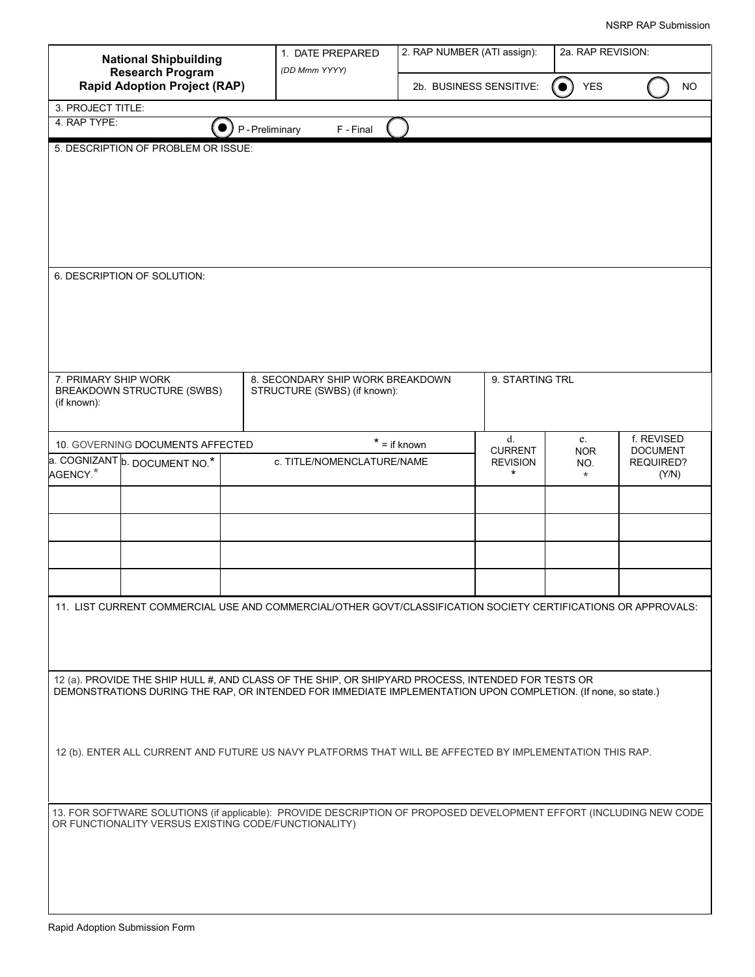| <b>National Shipbuilding</b>                                                                                                                                                                                        |                                       |               | 1. DATE PREPARED                                                                                              | 2. RAP NUMBER (ATI assign):<br>2a. RAP REVISION: |                             |                  |                               |  |
|---------------------------------------------------------------------------------------------------------------------------------------------------------------------------------------------------------------------|---------------------------------------|---------------|---------------------------------------------------------------------------------------------------------------|--------------------------------------------------|-----------------------------|------------------|-------------------------------|--|
| <b>Research Program</b><br><b>Rapid Adoption Project (RAP)</b>                                                                                                                                                      |                                       | (DD Mmm YYYY) | 2b. BUSINESS SENSITIVE:                                                                                       |                                                  | <b>YES</b><br>$\bullet$     | <b>NO</b>        |                               |  |
| 3. PROJECT TITLE:                                                                                                                                                                                                   |                                       |               |                                                                                                               |                                                  |                             |                  |                               |  |
| 4. RAP TYPE:                                                                                                                                                                                                        |                                       | P-Preliminary | F - Final                                                                                                     |                                                  |                             |                  |                               |  |
| 5. DESCRIPTION OF PROBLEM OR ISSUE:                                                                                                                                                                                 |                                       |               |                                                                                                               |                                                  |                             |                  |                               |  |
|                                                                                                                                                                                                                     |                                       |               |                                                                                                               |                                                  |                             |                  |                               |  |
|                                                                                                                                                                                                                     |                                       |               |                                                                                                               |                                                  |                             |                  |                               |  |
|                                                                                                                                                                                                                     |                                       |               |                                                                                                               |                                                  |                             |                  |                               |  |
|                                                                                                                                                                                                                     |                                       |               |                                                                                                               |                                                  |                             |                  |                               |  |
|                                                                                                                                                                                                                     |                                       |               |                                                                                                               |                                                  |                             |                  |                               |  |
|                                                                                                                                                                                                                     | 6. DESCRIPTION OF SOLUTION:           |               |                                                                                                               |                                                  |                             |                  |                               |  |
|                                                                                                                                                                                                                     |                                       |               |                                                                                                               |                                                  |                             |                  |                               |  |
|                                                                                                                                                                                                                     |                                       |               |                                                                                                               |                                                  |                             |                  |                               |  |
|                                                                                                                                                                                                                     |                                       |               |                                                                                                               |                                                  |                             |                  |                               |  |
|                                                                                                                                                                                                                     |                                       |               |                                                                                                               |                                                  |                             |                  |                               |  |
|                                                                                                                                                                                                                     |                                       |               |                                                                                                               |                                                  |                             |                  |                               |  |
| 7. PRIMARY SHIP WORK                                                                                                                                                                                                | BREAKDOWN STRUCTURE (SWBS)            |               | 8. SECONDARY SHIP WORK BREAKDOWN<br>STRUCTURE (SWBS) (if known):                                              |                                                  | 9. STARTING TRL             |                  |                               |  |
| (if known):                                                                                                                                                                                                         |                                       |               |                                                                                                               |                                                  |                             |                  |                               |  |
|                                                                                                                                                                                                                     |                                       |               |                                                                                                               |                                                  |                             |                  |                               |  |
|                                                                                                                                                                                                                     | 10. GOVERNING DOCUMENTS AFFECTED      |               |                                                                                                               | d.<br>$* =$ if known<br><b>CURRENT</b>           |                             | e.<br><b>NOR</b> | f. REVISED<br><b>DOCUMENT</b> |  |
| AGENCY. <sup>*</sup>                                                                                                                                                                                                | a. COGNIZANT <b>b. DOCUMENT NO.</b> * |               | c. TITLE/NOMENCLATURE/NAME                                                                                    |                                                  | <b>REVISION</b><br>$^\star$ | NO.<br>$\star$   | REQUIRED?<br>(Y/N)            |  |
|                                                                                                                                                                                                                     |                                       |               |                                                                                                               |                                                  |                             |                  |                               |  |
|                                                                                                                                                                                                                     |                                       |               |                                                                                                               |                                                  |                             |                  |                               |  |
|                                                                                                                                                                                                                     |                                       |               |                                                                                                               |                                                  |                             |                  |                               |  |
|                                                                                                                                                                                                                     |                                       |               |                                                                                                               |                                                  |                             |                  |                               |  |
|                                                                                                                                                                                                                     |                                       |               |                                                                                                               |                                                  |                             |                  |                               |  |
|                                                                                                                                                                                                                     |                                       |               |                                                                                                               |                                                  |                             |                  |                               |  |
|                                                                                                                                                                                                                     |                                       |               | 11. LIST CURRENT COMMERCIAL USE AND COMMERCIAL/OTHER GOVT/CLASSIFICATION SOCIETY CERTIFICATIONS OR APPROVALS: |                                                  |                             |                  |                               |  |
|                                                                                                                                                                                                                     |                                       |               |                                                                                                               |                                                  |                             |                  |                               |  |
|                                                                                                                                                                                                                     |                                       |               |                                                                                                               |                                                  |                             |                  |                               |  |
|                                                                                                                                                                                                                     |                                       |               |                                                                                                               |                                                  |                             |                  |                               |  |
| 12 (a). PROVIDE THE SHIP HULL #, AND CLASS OF THE SHIP, OR SHIPYARD PROCESS, INTENDED FOR TESTS OR<br>DEMONSTRATIONS DURING THE RAP, OR INTENDED FOR IMMEDIATE IMPLEMENTATION UPON COMPLETION. (If none, so state.) |                                       |               |                                                                                                               |                                                  |                             |                  |                               |  |
|                                                                                                                                                                                                                     |                                       |               |                                                                                                               |                                                  |                             |                  |                               |  |
|                                                                                                                                                                                                                     |                                       |               |                                                                                                               |                                                  |                             |                  |                               |  |
| 12 (b). ENTER ALL CURRENT AND FUTURE US NAVY PLATFORMS THAT WILL BE AFFECTED BY IMPLEMENTATION THIS RAP.                                                                                                            |                                       |               |                                                                                                               |                                                  |                             |                  |                               |  |
|                                                                                                                                                                                                                     |                                       |               |                                                                                                               |                                                  |                             |                  |                               |  |
|                                                                                                                                                                                                                     |                                       |               |                                                                                                               |                                                  |                             |                  |                               |  |
| 13. FOR SOFTWARE SOLUTIONS (if applicable): PROVIDE DESCRIPTION OF PROPOSED DEVELOPMENT EFFORT (INCLUDING NEW CODE<br>OR FUNCTIONALITY VERSUS EXISTING CODE/FUNCTIONALITY)                                          |                                       |               |                                                                                                               |                                                  |                             |                  |                               |  |
|                                                                                                                                                                                                                     |                                       |               |                                                                                                               |                                                  |                             |                  |                               |  |
|                                                                                                                                                                                                                     |                                       |               |                                                                                                               |                                                  |                             |                  |                               |  |
|                                                                                                                                                                                                                     |                                       |               |                                                                                                               |                                                  |                             |                  |                               |  |